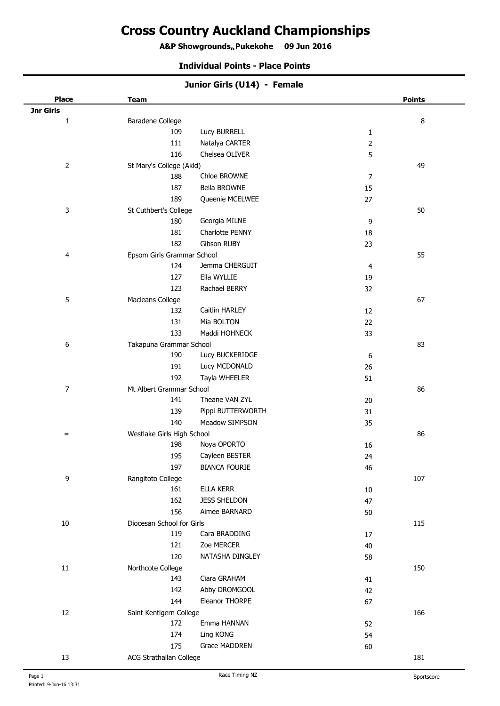# **Cross Country Auckland Championships**

**A&P Showgrounds, Pukekohe 09 Jun 2016 .**

#### **Individual Points - Place Points**

| Junior Girls (U14) - Female |                            |                      |                |               |
|-----------------------------|----------------------------|----------------------|----------------|---------------|
| <b>Place</b>                | <b>Team</b>                |                      |                | <b>Points</b> |
| Jnr Girls                   |                            |                      |                |               |
| $\mathbf{1}$                | Baradene College           |                      |                | $\,8\,$       |
|                             | 109                        | Lucy BURRELL         | $\mathbf{1}$   |               |
|                             | 111                        | Natalya CARTER       | 2              |               |
|                             | 116                        | Chelsea OLIVER       | 5              |               |
| $\overline{2}$              | St Mary's College (Akld)   |                      |                | 49            |
|                             | 188                        | Chloe BROWNE         | $\overline{7}$ |               |
|                             | 187                        | Bella BROWNE         | 15             |               |
|                             | 189                        | Queenie MCELWEE      | 27             |               |
| 3                           | St Cuthbert's College      |                      |                | 50            |
|                             | 180                        | Georgia MILNE        | 9              |               |
|                             | 181                        | Charlotte PENNY      | 18             |               |
|                             | 182                        | Gibson RUBY          | 23             |               |
| 4                           | Epsom Girls Grammar School |                      |                | 55            |
|                             | 124                        | Jemma CHERGUIT       | 4              |               |
|                             | 127                        | Ella WYLLIE          | 19             |               |
|                             | 123                        | Rachael BERRY        | 32             |               |
| 5                           | Macleans College           |                      |                | 67            |
|                             | 132                        | Caitlin HARLEY       | 12             |               |
|                             | 131                        | Mia BOLTON           | 22             |               |
|                             | 133                        | Maddi HOHNECK        | 33             |               |
| 6                           | Takapuna Grammar School    |                      |                | 83            |
|                             | 190                        | Lucy BUCKERIDGE      | 6              |               |
|                             | 191                        | Lucy MCDONALD        | 26             |               |
|                             | 192                        | Tayla WHEELER        | 51             |               |
| $\boldsymbol{7}$            | Mt Albert Grammar School   |                      |                | 86            |
|                             | 141                        | Theane VAN ZYL       | 20             |               |
|                             | 139                        | Pippi BUTTERWORTH    | 31             |               |
|                             | 140                        | Meadow SIMPSON       | 35             |               |
| $=$                         | Westlake Girls High School |                      |                | 86            |
|                             | 198                        | Noya OPORTO          | 16             |               |
|                             | 195                        | Cayleen BESTER       | 24             |               |
|                             | 197                        | <b>BIANCA FOURIE</b> | 46             |               |
| 9                           | Rangitoto College          |                      |                | 107           |
|                             | 161                        | ELLA KERR            | $10\,$         |               |
|                             | 162                        | <b>JESS SHELDON</b>  | 47             |               |
|                             | 156                        | Aimee BARNARD        | 50             |               |
| $10\,$                      | Diocesan School for Girls  |                      |                | 115           |
|                             | 119                        | Cara BRADDING        | 17             |               |
|                             | 121                        | Zoe MERCER           | 40             |               |
|                             | 120                        | NATASHA DINGLEY      | 58             |               |
| $11\,$                      | Northcote College          |                      |                | 150           |
|                             | 143                        | Ciara GRAHAM         | 41             |               |
|                             | 142                        | Abby DROMGOOL        | 42             |               |
|                             | 144                        | Eleanor THORPE       | 67             |               |
| 12                          | Saint Kentigern College    |                      |                | 166           |
|                             | 172                        | Emma HANNAN          | 52             |               |
|                             | 174                        | Ling KONG            | 54             |               |
|                             | 175                        | Grace MADDREN        |                |               |
|                             |                            |                      | 60             |               |
| 13                          | ACG Strathallan College    |                      |                | 181           |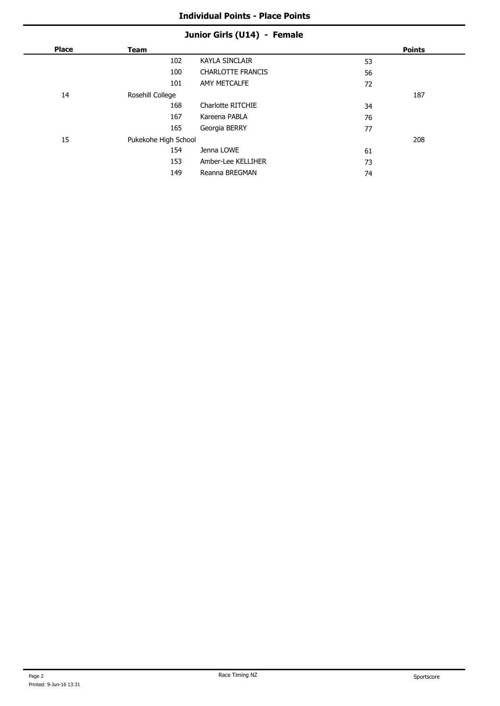# **Junior Girls (U14) - Female**

| <b>Place</b> | <b>Team</b>          |                          |    | <b>Points</b> |
|--------------|----------------------|--------------------------|----|---------------|
|              | 102                  | <b>KAYLA SINCLAIR</b>    | 53 |               |
|              | 100                  | <b>CHARLOTTE FRANCIS</b> | 56 |               |
|              | 101                  | AMY METCALFE             | 72 |               |
| 14           | Rosehill College     |                          |    | 187           |
|              | 168                  | Charlotte RITCHIE        | 34 |               |
|              | 167                  | Kareena PABLA            | 76 |               |
|              | 165                  | Georgia BERRY            | 77 |               |
| 15           | Pukekohe High School |                          |    | 208           |
|              | 154                  | Jenna LOWE               | 61 |               |
|              | 153                  | Amber-Lee KELLIHER       | 73 |               |
|              | 149                  | Reanna BREGMAN           | 74 |               |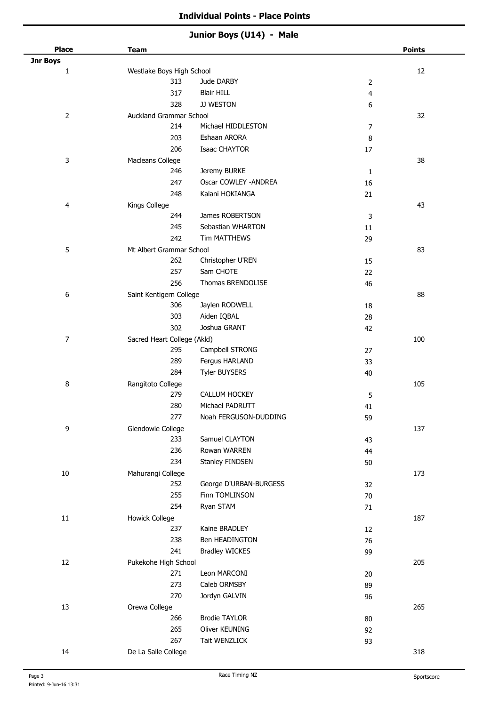| Junior Boys (U14) - Male |  |  |
|--------------------------|--|--|
|--------------------------|--|--|

| <b>Place</b>   | <b>Team</b>                      |                        |                     | <b>Points</b> |
|----------------|----------------------------------|------------------------|---------------------|---------------|
| Jnr Boys       |                                  |                        |                     | 12            |
| $\mathbf 1$    | Westlake Boys High School<br>313 | Jude DARBY             |                     |               |
|                | 317                              | <b>Blair HILL</b>      | $\overline{2}$<br>4 |               |
|                | 328                              | JJ WESTON              |                     |               |
|                |                                  |                        | 6                   |               |
| $\overline{2}$ | Auckland Grammar School          | Michael HIDDLESTON     |                     | 32            |
|                | 214                              |                        | $\boldsymbol{7}$    |               |
|                | 203                              | Eshaan ARORA           | 8                   |               |
|                | 206                              | <b>Isaac CHAYTOR</b>   | 17                  |               |
| 3              | Macleans College                 |                        |                     | 38            |
|                | 246                              | Jeremy BURKE           | $\mathbf{1}$        |               |
|                | 247                              | Oscar COWLEY - ANDREA  | 16                  |               |
|                | 248                              | Kalani HOKIANGA        | 21                  |               |
| 4              | Kings College                    |                        |                     | 43            |
|                | 244                              | James ROBERTSON        | 3                   |               |
|                | 245                              | Sebastian WHARTON      | 11                  |               |
|                | 242                              | Tim MATTHEWS           | 29                  |               |
| 5              | Mt Albert Grammar School         |                        |                     | 83            |
|                | 262                              | Christopher U'REN      | 15                  |               |
|                | 257                              | Sam CHOTE              | 22                  |               |
|                | 256                              | Thomas BRENDOLISE      | 46                  |               |
| 6              | Saint Kentigern College          |                        |                     | 88            |
|                | 306                              | Jaylen RODWELL         | 18                  |               |
|                | 303                              | Aiden IQBAL            | 28                  |               |
|                | 302                              | Joshua GRANT           | 42                  |               |
| $\overline{7}$ | Sacred Heart College (Akld)      |                        |                     | 100           |
|                | 295                              | Campbell STRONG        | 27                  |               |
|                | 289                              | Fergus HARLAND         | 33                  |               |
|                | 284                              | <b>Tyler BUYSERS</b>   | 40                  |               |
| 8              | Rangitoto College                |                        |                     | 105           |
|                | 279                              | CALLUM HOCKEY          | 5                   |               |
|                | 280                              | Michael PADRUTT        | 41                  |               |
|                | 277                              | Noah FERGUSON-DUDDING  | 59                  |               |
| 9              | Glendowie College                |                        |                     | 137           |
|                | 233                              | Samuel CLAYTON         | 43                  |               |
|                | 236                              | Rowan WARREN           | 44                  |               |
|                | 234                              | Stanley FINDSEN        | 50                  |               |
| $10\,$         | Mahurangi College                |                        |                     | 173           |
|                | 252                              | George D'URBAN-BURGESS | 32                  |               |
|                | 255                              | Finn TOMLINSON         | 70                  |               |
|                | 254                              | Ryan STAM              | 71                  |               |
| $11\,$         | <b>Howick College</b>            |                        |                     | 187           |
|                | 237                              | Kaine BRADLEY          | 12                  |               |
|                | 238                              | Ben HEADINGTON         | 76                  |               |
|                | 241                              | <b>Bradley WICKES</b>  | 99                  |               |
| 12             | Pukekohe High School             |                        |                     | 205           |
|                | 271                              | Leon MARCONI           |                     |               |
|                | 273                              |                        | 20                  |               |
|                |                                  | Caleb ORMSBY           | 89                  |               |
|                | 270                              | Jordyn GALVIN          | 96                  |               |
| 13             | Orewa College                    |                        |                     | 265           |
|                | 266                              | <b>Brodie TAYLOR</b>   | 80                  |               |
|                | 265                              | Oliver KEUNING         | 92                  |               |
|                | 267                              | Tait WENZLICK          | 93                  |               |
| 14             | De La Salle College              |                        |                     | 318           |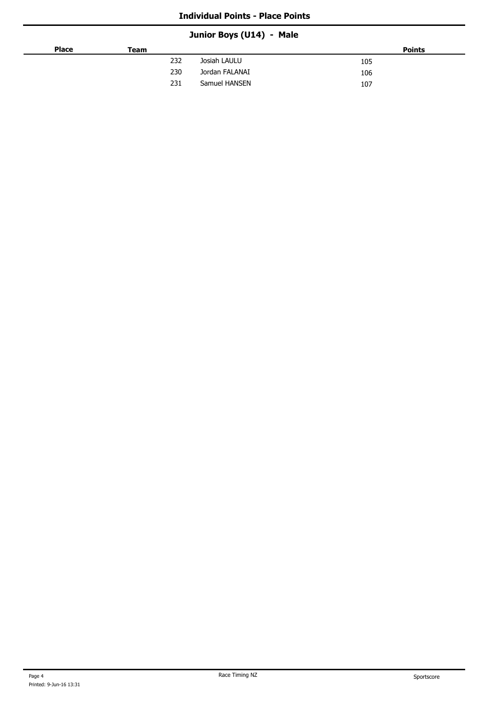# **Junior Boys (U14) - Male**

| <b>Place</b> | Team |                | <b>Points</b> |
|--------------|------|----------------|---------------|
|              | 232  | Josiah LAULU   | 105           |
|              | 230  | Jordan FALANAI | 106           |
|              | 231  | Samuel HANSEN  | 107           |
|              |      |                |               |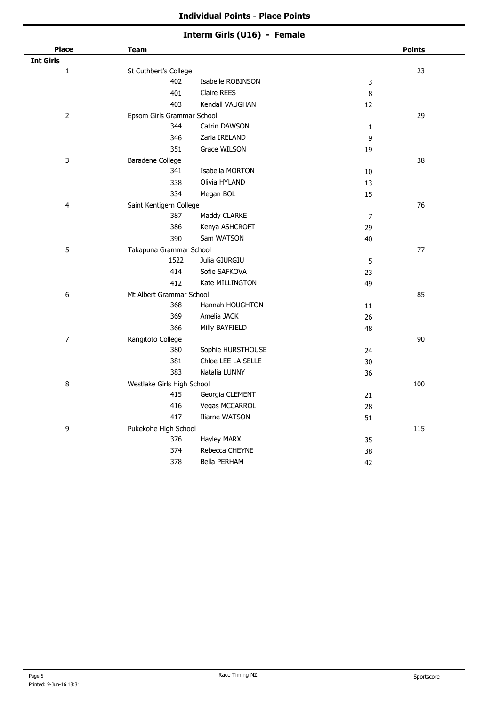# **Interm Girls (U16) - Female**

| <b>Place</b>     | <b>Team</b>                |                       |                | <b>Points</b> |
|------------------|----------------------------|-----------------------|----------------|---------------|
| <b>Int Girls</b> |                            |                       |                |               |
| $\mathbf{1}$     | St Cuthbert's College      |                       |                | 23            |
|                  | 402                        | Isabelle ROBINSON     | $\mathsf 3$    |               |
|                  | 401                        | Claire REES           | 8              |               |
|                  | 403                        | Kendall VAUGHAN       | 12             |               |
| $\overline{2}$   | Epsom Girls Grammar School |                       |                | 29            |
|                  | 344                        | Catrin DAWSON         | $\mathbf 1$    |               |
|                  | 346                        | Zaria IRELAND         | 9              |               |
|                  | 351                        | Grace WILSON          | 19             |               |
| 3                | Baradene College           |                       |                | 38            |
|                  | 341                        | Isabella MORTON       | $10\,$         |               |
|                  | 338                        | Olivia HYLAND         | 13             |               |
|                  | 334                        | Megan BOL             | 15             |               |
| 4                | Saint Kentigern College    |                       |                | 76            |
|                  | 387                        | Maddy CLARKE          | $\overline{7}$ |               |
|                  | 386                        | Kenya ASHCROFT        | 29             |               |
|                  | 390                        | Sam WATSON            | 40             |               |
| 5                | Takapuna Grammar School    |                       |                | 77            |
|                  | 1522                       | Julia GIURGIU         | 5              |               |
|                  | 414                        | Sofie SAFKOVA         | 23             |               |
|                  | 412                        | Kate MILLINGTON       | 49             |               |
| 6                | Mt Albert Grammar School   |                       |                | 85            |
|                  | 368                        | Hannah HOUGHTON       | 11             |               |
|                  | 369                        | Amelia JACK           | 26             |               |
|                  | 366                        | Milly BAYFIELD        | 48             |               |
| $\overline{7}$   | Rangitoto College          |                       |                | $90\,$        |
|                  | 380                        | Sophie HURSTHOUSE     | 24             |               |
|                  | 381                        | Chloe LEE LA SELLE    | $30\,$         |               |
|                  | 383                        | Natalia LUNNY         | 36             |               |
| 8                | Westlake Girls High School |                       |                | 100           |
|                  | 415                        | Georgia CLEMENT       | 21             |               |
|                  | 416                        | <b>Vegas MCCARROL</b> | 28             |               |
|                  | 417                        | Iliarne WATSON        | 51             |               |
| 9                | Pukekohe High School       |                       |                | 115           |
|                  | 376                        | Hayley MARX           | 35             |               |
|                  | 374                        | Rebecca CHEYNE        | 38             |               |
|                  | 378                        | <b>Bella PERHAM</b>   | 42             |               |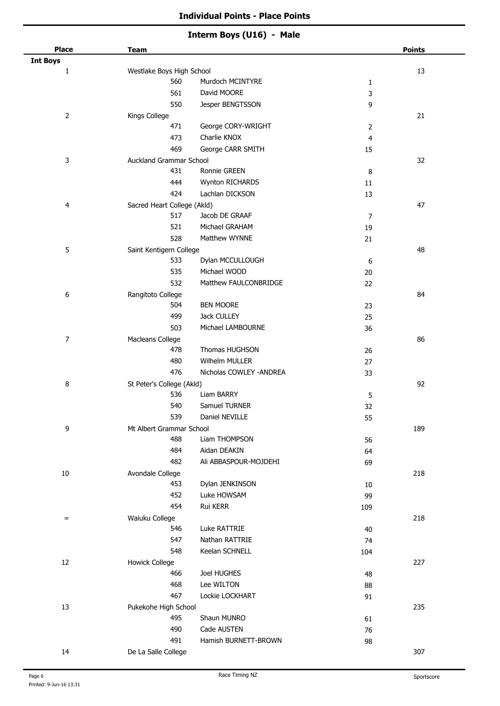#### **Interm Boys (U16) - Male**

| <b>Place</b>    | <b>Team</b>                 |                          |                   | <b>Points</b> |
|-----------------|-----------------------------|--------------------------|-------------------|---------------|
| <b>Int Boys</b> | Westlake Boys High School   |                          |                   | 13            |
| 1               | 560                         | Murdoch MCINTYRE         |                   |               |
|                 | 561                         | David MOORE              | $\mathbf{1}$<br>3 |               |
|                 | 550                         | Jesper BENGTSSON         | 9                 |               |
| $\overline{2}$  | Kings College               |                          |                   | 21            |
|                 | 471                         | George CORY-WRIGHT       | 2                 |               |
|                 | 473                         | Charlie KNOX             | 4                 |               |
|                 | 469                         | George CARR SMITH        | 15                |               |
| 3               | Auckland Grammar School     |                          |                   | 32            |
|                 | 431                         | Ronnie GREEN             | 8                 |               |
|                 | 444                         | Wynton RICHARDS          | 11                |               |
|                 | 424                         | Lachlan DICKSON          | 13                |               |
| 4               | Sacred Heart College (Akld) |                          |                   | 47            |
|                 | 517                         | Jacob DE GRAAF           | 7                 |               |
|                 | 521                         | Michael GRAHAM           | 19                |               |
|                 | 528                         | Matthew WYNNE            | 21                |               |
| 5               | Saint Kentigern College     |                          |                   | 48            |
|                 | 533                         | Dylan MCCULLOUGH         | 6                 |               |
|                 | 535                         | Michael WOOD             | 20                |               |
|                 | 532                         | Matthew FAULCONBRIDGE    | 22                |               |
| 6               | Rangitoto College           |                          |                   | 84            |
|                 | 504                         | <b>BEN MOORE</b>         | 23                |               |
|                 | 499                         | Jack CULLEY              | 25                |               |
|                 | 503                         | Michael LAMBOURNE        | 36                |               |
| $\overline{7}$  | Macleans College            |                          |                   | 86            |
|                 | 478                         | Thomas HUGHSON           | 26                |               |
|                 | 480                         | Wilhelm MULLER           | 27                |               |
|                 | 476                         | Nicholas COWLEY - ANDREA | 33                |               |
| 8               | St Peter's College (Akld)   |                          |                   | 92            |
|                 | 536                         | Liam BARRY               | 5                 |               |
|                 | 540                         | Samuel TURNER            | 32                |               |
|                 | 539                         | Daniel NEVILLE           | 55                |               |
| 9               | Mt Albert Grammar School    |                          |                   | 189           |
|                 | 488                         | Liam THOMPSON            | 56                |               |
|                 | 484                         | Aidan DEAKIN             | 64                |               |
|                 | 482                         | Ali ABBASPOUR-MOJDEHI    | 69                |               |
| $10\,$          | Avondale College            |                          |                   | 218           |
|                 | 453                         | Dylan JENKINSON          | $10\,$            |               |
|                 | 452                         | Luke HOWSAM              | 99                |               |
|                 | 454                         | Rui KERR                 | 109               |               |
| $=$             | Waiuku College              |                          |                   | 218           |
|                 | 546                         | Luke RATTRIE             | 40                |               |
|                 | 547                         | Nathan RATTRIE           | 74                |               |
|                 | 548                         | Keelan SCHNELL           | 104               |               |
| $12\,$          | <b>Howick College</b>       |                          |                   | 227           |
|                 | 466                         | Joel HUGHES              | 48                |               |
|                 | 468                         | Lee WILTON               | 88                |               |
|                 | 467                         | Lockie LOCKHART          | 91                |               |
| 13              | Pukekohe High School        |                          |                   | 235           |
|                 | 495                         | Shaun MUNRO              | 61                |               |
|                 | 490                         | Cade AUSTEN              | 76                |               |
|                 | 491                         | Hamish BURNETT-BROWN     | 98                |               |
| 14              | De La Salle College         |                          |                   | 307           |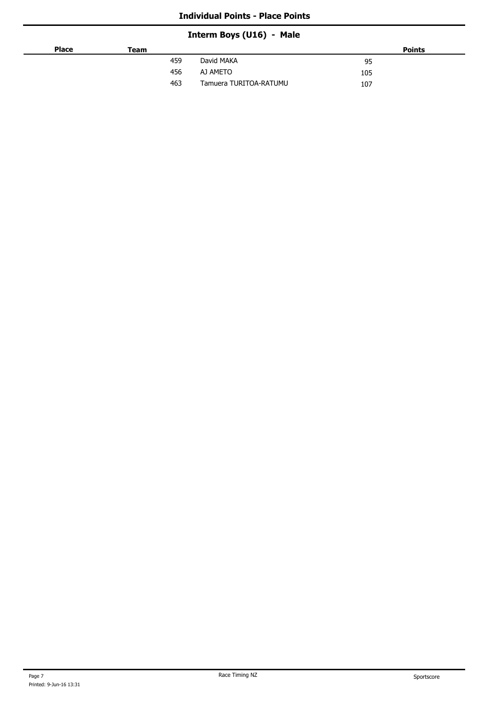# **Interm Boys (U16) - Male**

| <b>Place</b> | Team |                        | <b>Points</b> |
|--------------|------|------------------------|---------------|
|              | 459  | David MAKA             | 95            |
|              | 456  | AJ AMETO               | 105           |
|              | 463  | Tamuera TURITOA-RATUMU | 107           |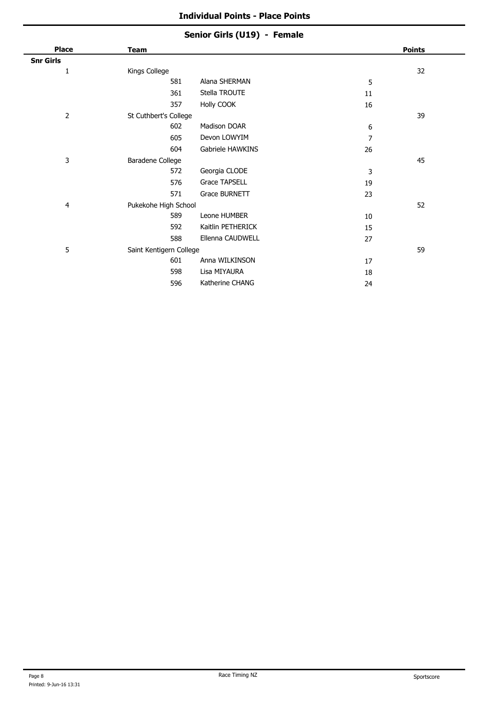### **Senior Girls (U19) - Female**

| <b>Place</b>     | Team                    |                   |    | <b>Points</b> |
|------------------|-------------------------|-------------------|----|---------------|
| <b>Snr Girls</b> |                         |                   |    |               |
| 1                | Kings College           |                   |    | 32            |
|                  | 581                     | Alana SHERMAN     | 5  |               |
|                  | 361                     | Stella TROUTE     | 11 |               |
|                  | 357                     | Holly COOK        | 16 |               |
| $\overline{2}$   | St Cuthbert's College   |                   |    | 39            |
|                  | 602                     | Madison DOAR      | 6  |               |
|                  | 605                     | Devon LOWYIM      | 7  |               |
|                  | 604                     | Gabriele HAWKINS  | 26 |               |
| 3                | Baradene College        |                   |    | 45            |
|                  | 572                     | Georgia CLODE     | 3  |               |
|                  | 576                     | Grace TAPSELL     | 19 |               |
|                  | 571                     | Grace BURNETT     | 23 |               |
| 4                | Pukekohe High School    |                   |    | 52            |
|                  | 589                     | Leone HUMBER      | 10 |               |
|                  | 592                     | Kaitlin PETHERICK | 15 |               |
|                  | 588                     | Ellenna CAUDWELL  | 27 |               |
| 5                | Saint Kentigern College |                   |    | 59            |
|                  | 601                     | Anna WILKINSON    | 17 |               |
|                  | 598                     | Lisa MIYAURA      | 18 |               |
|                  | 596                     | Katherine CHANG   | 24 |               |